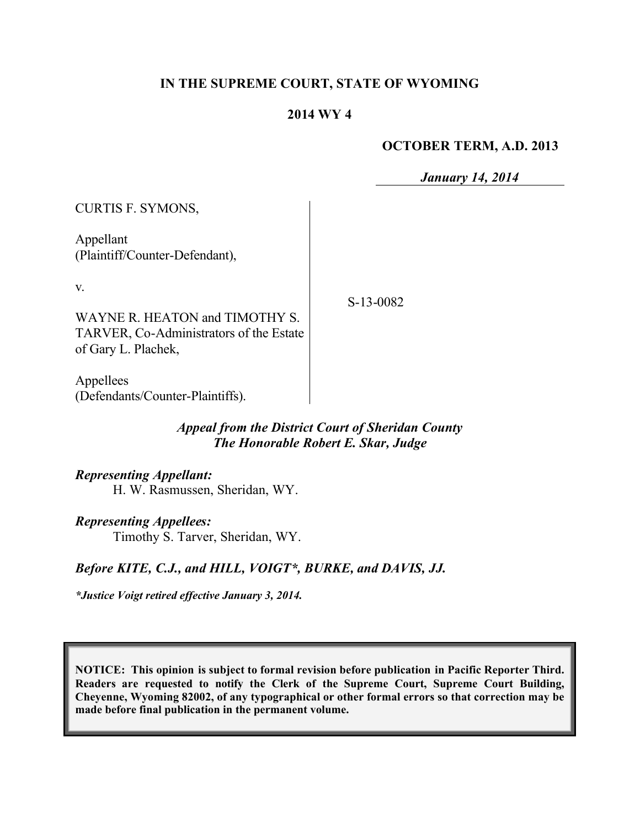### **IN THE SUPREME COURT, STATE OF WYOMING**

### **2014 WY 4**

#### **OCTOBER TERM, A.D. 2013**

*January 14, 2014*

| <b>CURTIS F. SYMONS,</b>                                                                               |           |
|--------------------------------------------------------------------------------------------------------|-----------|
| Appellant<br>(Plaintiff/Counter-Defendant),                                                            |           |
| V.<br>WAYNE R. HEATON and TIMOTHY S.<br>TARVER, Co-Administrators of the Estate<br>of Gary L. Plachek, | S-13-0082 |
| Appellees                                                                                              |           |

## *Appeal from the District Court of Sheridan County The Honorable Robert E. Skar, Judge*

#### *Representing Appellant:* H. W. Rasmussen, Sheridan, WY.

(Defendants/Counter-Plaintiffs).

### *Representing Appellees:*

Timothy S. Tarver, Sheridan, WY.

## *Before KITE, C.J., and HILL, VOIGT\*, BURKE, and DAVIS, JJ.*

*\*Justice Voigt retired effective January 3, 2014.*

**NOTICE: This opinion is subject to formal revision before publication in Pacific Reporter Third. Readers are requested to notify the Clerk of the Supreme Court, Supreme Court Building, Cheyenne, Wyoming 82002, of any typographical or other formal errors so that correction may be made before final publication in the permanent volume.**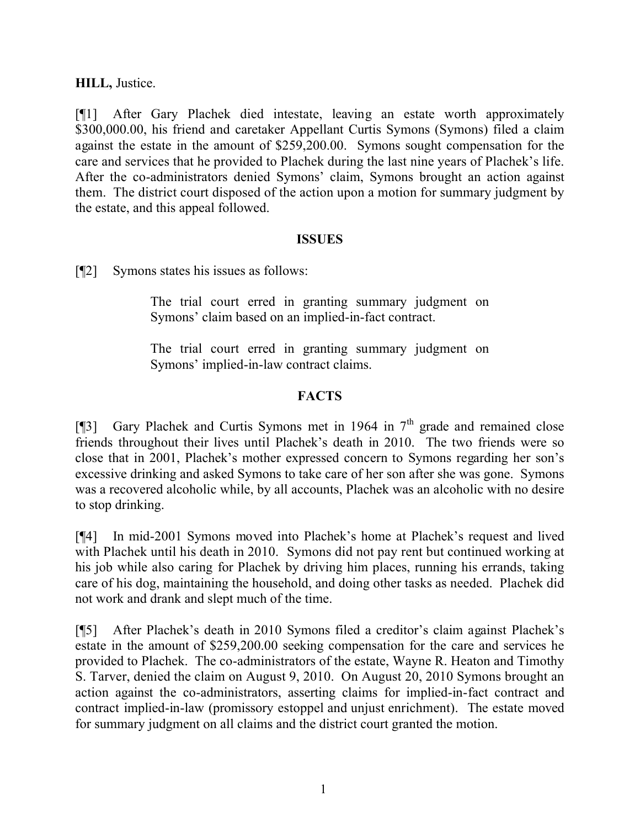## **HILL,** Justice.

[¶1] After Gary Plachek died intestate, leaving an estate worth approximately \$300,000.00, his friend and caretaker Appellant Curtis Symons (Symons) filed a claim against the estate in the amount of \$259,200.00. Symons sought compensation for the care and services that he provided to Plachek during the last nine years of Plachek's life. After the co-administrators denied Symons' claim, Symons brought an action against them. The district court disposed of the action upon a motion for summary judgment by the estate, and this appeal followed.

### **ISSUES**

[¶2] Symons states his issues as follows:

The trial court erred in granting summary judgment on Symons' claim based on an implied-in-fact contract.

The trial court erred in granting summary judgment on Symons' implied-in-law contract claims.

# **FACTS**

[¶3] Gary Plachek and Curtis Symons met in 1964 in  $7<sup>th</sup>$  grade and remained close friends throughout their lives until Plachek's death in 2010. The two friends were so close that in 2001, Plachek's mother expressed concern to Symons regarding her son's excessive drinking and asked Symons to take care of her son after she was gone. Symons was a recovered alcoholic while, by all accounts, Plachek was an alcoholic with no desire to stop drinking.

[¶4] In mid-2001 Symons moved into Plachek's home at Plachek's request and lived with Plachek until his death in 2010. Symons did not pay rent but continued working at his job while also caring for Plachek by driving him places, running his errands, taking care of his dog, maintaining the household, and doing other tasks as needed. Plachek did not work and drank and slept much of the time.

[¶5] After Plachek's death in 2010 Symons filed a creditor's claim against Plachek's estate in the amount of \$259,200.00 seeking compensation for the care and services he provided to Plachek. The co-administrators of the estate, Wayne R. Heaton and Timothy S. Tarver, denied the claim on August 9, 2010. On August 20, 2010 Symons brought an action against the co-administrators, asserting claims for implied-in-fact contract and contract implied-in-law (promissory estoppel and unjust enrichment). The estate moved for summary judgment on all claims and the district court granted the motion.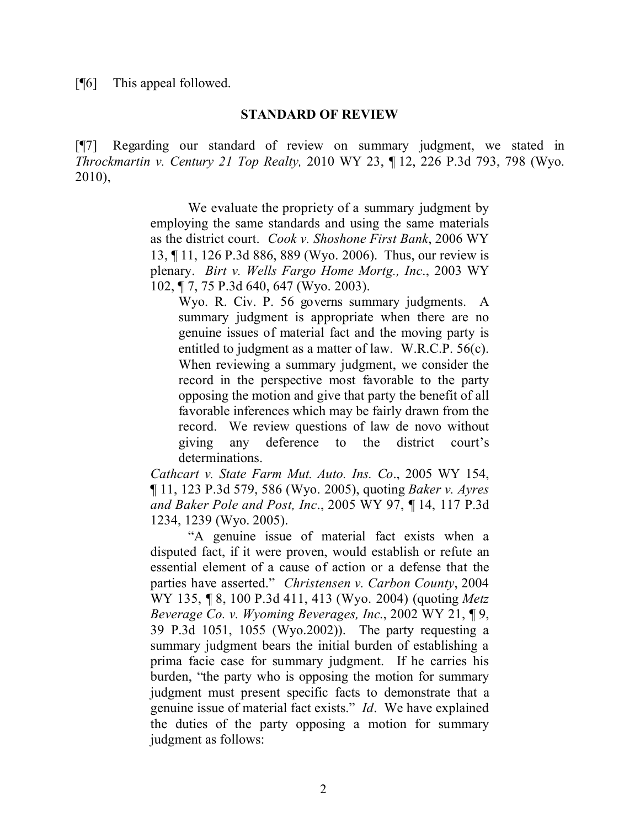[¶6] This appeal followed.

#### **STANDARD OF REVIEW**

[¶7] Regarding our standard of review on summary judgment, we stated in *Throckmartin v. Century 21 Top Realty,* 2010 WY 23, ¶ 12, 226 P.3d 793, 798 (Wyo. 2010),

> We evaluate the propriety of a summary judgment by employing the same standards and using the same materials as the district court. *Cook v. Shoshone First Bank*, 2006 WY 13, ¶ 11, 126 P.3d 886, 889 (Wyo. 2006). Thus, our review is plenary. *Birt v. Wells Fargo Home Mortg., Inc*., 2003 WY 102, ¶ 7, 75 P.3d 640, 647 (Wyo. 2003).

Wyo. R. Civ. P. 56 governs summary judgments. A summary judgment is appropriate when there are no genuine issues of material fact and the moving party is entitled to judgment as a matter of law. W.R.C.P. 56(c). When reviewing a summary judgment, we consider the record in the perspective most favorable to the party opposing the motion and give that party the benefit of all favorable inferences which may be fairly drawn from the record. We review questions of law de novo without giving any deference to the district court's determinations.

*Cathcart v. State Farm Mut. Auto. Ins. Co*., 2005 WY 154, ¶ 11, 123 P.3d 579, 586 (Wyo. 2005), quoting *Baker v. Ayres and Baker Pole and Post, Inc*., 2005 WY 97, ¶ 14, 117 P.3d 1234, 1239 (Wyo. 2005).

"A genuine issue of material fact exists when a disputed fact, if it were proven, would establish or refute an essential element of a cause of action or a defense that the parties have asserted." *Christensen v. Carbon County*, 2004 WY 135, ¶ 8, 100 P.3d 411, 413 (Wyo. 2004) (quoting *Metz Beverage Co. v. Wyoming Beverages, Inc*., 2002 WY 21, ¶ 9, 39 P.3d 1051, 1055 (Wyo.2002)). The party requesting a summary judgment bears the initial burden of establishing a prima facie case for summary judgment. If he carries his burden, "the party who is opposing the motion for summary judgment must present specific facts to demonstrate that a genuine issue of material fact exists." *Id*. We have explained the duties of the party opposing a motion for summary judgment as follows: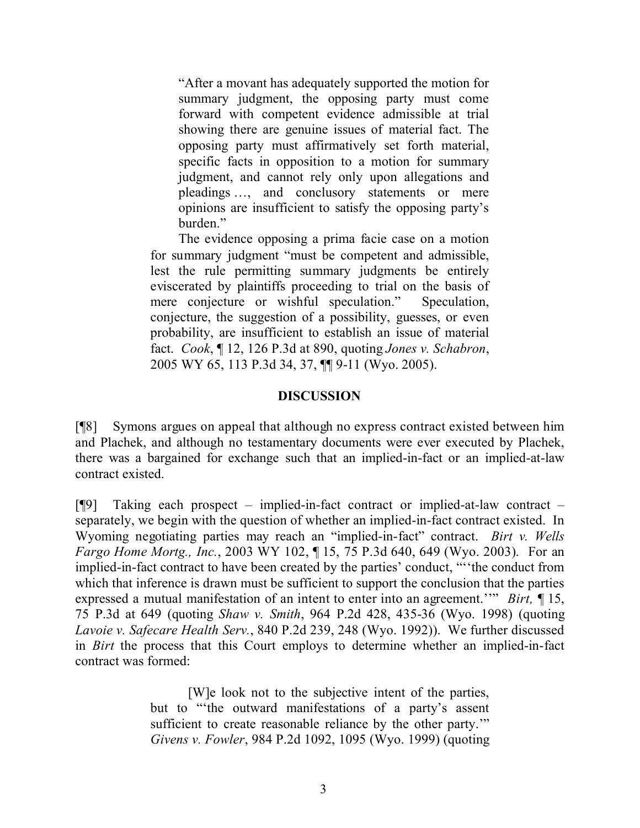"After a movant has adequately supported the motion for summary judgment, the opposing party must come forward with competent evidence admissible at trial showing there are genuine issues of material fact. The opposing party must affirmatively set forth material, specific facts in opposition to a motion for summary judgment, and cannot rely only upon allegations and pleadings …, and conclusory statements or mere opinions are insufficient to satisfy the opposing party's burden."

The evidence opposing a prima facie case on a motion for summary judgment "must be competent and admissible, lest the rule permitting summary judgments be entirely eviscerated by plaintiffs proceeding to trial on the basis of mere conjecture or wishful speculation." Speculation, conjecture, the suggestion of a possibility, guesses, or even probability, are insufficient to establish an issue of material fact. *Cook*, ¶ 12, 126 P.3d at 890, quoting *Jones v. Schabron*, 2005 WY 65, 113 P.3d 34, 37, ¶¶ 9-11 (Wyo. 2005).

### **DISCUSSION**

[¶8] Symons argues on appeal that although no express contract existed between him and Plachek, and although no testamentary documents were ever executed by Plachek, there was a bargained for exchange such that an implied-in-fact or an implied-at-law contract existed.

[¶9] Taking each prospect – implied-in-fact contract or implied-at-law contract – separately, we begin with the question of whether an implied-in-fact contract existed. In Wyoming negotiating parties may reach an "implied-in-fact" contract. *Birt v. Wells Fargo Home Mortg., Inc.*, 2003 WY 102, ¶ 15, 75 P.3d 640, 649 (Wyo. 2003). For an implied-in-fact contract to have been created by the parties' conduct, "''the conduct from which that inference is drawn must be sufficient to support the conclusion that the parties expressed a mutual manifestation of an intent to enter into an agreement.''" *Birt, ¶* 15, 75 P.3d at 649 (quoting *Shaw v. Smith*, 964 P.2d 428, 435-36 (Wyo. 1998) (quoting *Lavoie v. Safecare Health Serv.*, 840 P.2d 239, 248 (Wyo. 1992)). We further discussed in *Birt* the process that this Court employs to determine whether an implied-in-fact contract was formed:

> [W]e look not to the subjective intent of the parties, but to "'the outward manifestations of a party's assent sufficient to create reasonable reliance by the other party." *Givens v. Fowler*, 984 P.2d 1092, 1095 (Wyo. 1999) (quoting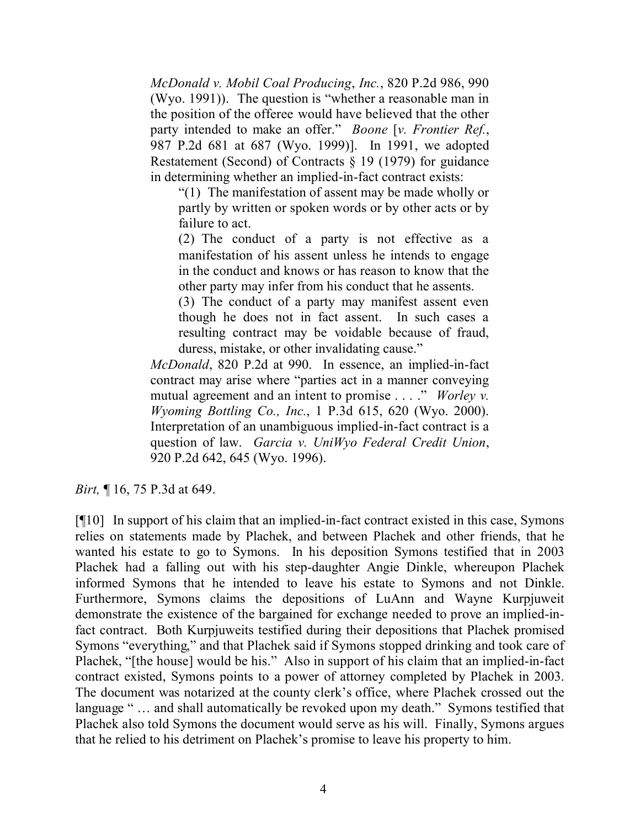*McDonald v. Mobil Coal Producing*, *Inc.*, 820 P.2d 986, 990 (Wyo. 1991)). The question is "whether a reasonable man in the position of the offeree would have believed that the other party intended to make an offer." *Boone* [*v. Frontier Ref.*, 987 P.2d 681 at 687 (Wyo. 1999)]. In 1991, we adopted Restatement (Second) of Contracts § 19 (1979) for guidance in determining whether an implied-in-fact contract exists:

"(1) The manifestation of assent may be made wholly or partly by written or spoken words or by other acts or by failure to act.

(2) The conduct of a party is not effective as a manifestation of his assent unless he intends to engage in the conduct and knows or has reason to know that the other party may infer from his conduct that he assents.

(3) The conduct of a party may manifest assent even though he does not in fact assent. In such cases a resulting contract may be voidable because of fraud, duress, mistake, or other invalidating cause."

*McDonald*, 820 P.2d at 990. In essence, an implied-in-fact contract may arise where "parties act in a manner conveying mutual agreement and an intent to promise . . . ." *Worley v. Wyoming Bottling Co., Inc.*, 1 P.3d 615, 620 (Wyo. 2000). Interpretation of an unambiguous implied-in-fact contract is a question of law. *Garcia v. UniWyo Federal Credit Union*, 920 P.2d 642, 645 (Wyo. 1996).

*Birt,* ¶ 16, 75 P.3d at 649.

[¶10] In support of his claim that an implied-in-fact contract existed in this case, Symons relies on statements made by Plachek, and between Plachek and other friends, that he wanted his estate to go to Symons. In his deposition Symons testified that in 2003 Plachek had a falling out with his step-daughter Angie Dinkle, whereupon Plachek informed Symons that he intended to leave his estate to Symons and not Dinkle. Furthermore, Symons claims the depositions of LuAnn and Wayne Kurpjuweit demonstrate the existence of the bargained for exchange needed to prove an implied-infact contract. Both Kurpjuweits testified during their depositions that Plachek promised Symons "everything," and that Plachek said if Symons stopped drinking and took care of Plachek, "[the house] would be his." Also in support of his claim that an implied-in-fact contract existed, Symons points to a power of attorney completed by Plachek in 2003. The document was notarized at the county clerk's office, where Plachek crossed out the language "... and shall automatically be revoked upon my death." Symons testified that Plachek also told Symons the document would serve as his will. Finally, Symons argues that he relied to his detriment on Plachek's promise to leave his property to him.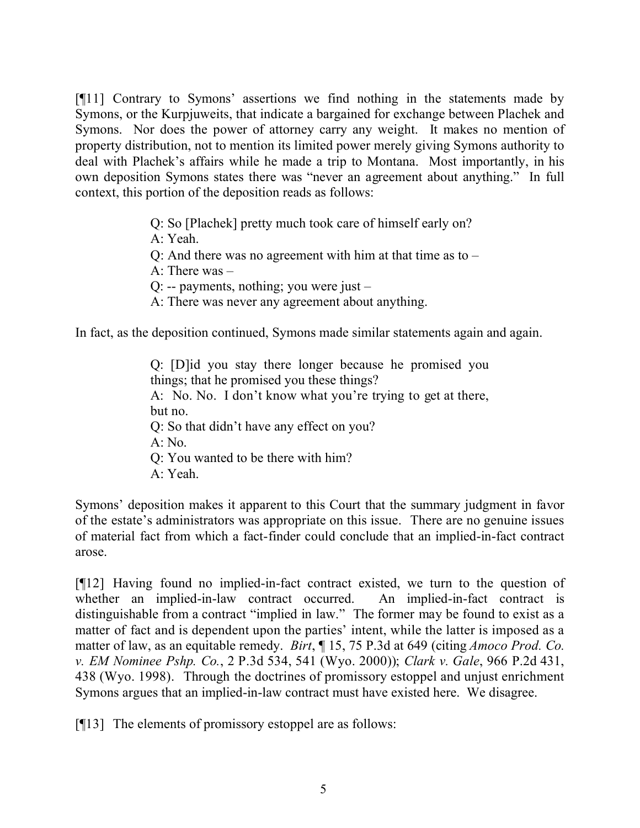[¶11] Contrary to Symons' assertions we find nothing in the statements made by Symons, or the Kurpjuweits, that indicate a bargained for exchange between Plachek and Symons. Nor does the power of attorney carry any weight. It makes no mention of property distribution, not to mention its limited power merely giving Symons authority to deal with Plachek's affairs while he made a trip to Montana. Most importantly, in his own deposition Symons states there was "never an agreement about anything." In full context, this portion of the deposition reads as follows:

Q: So [Plachek] pretty much took care of himself early on?

A: Yeah.

Q: And there was no agreement with him at that time as to –

A: There was –

Q: -- payments, nothing; you were just –

A: There was never any agreement about anything.

In fact, as the deposition continued, Symons made similar statements again and again.

Q: [D]id you stay there longer because he promised you things; that he promised you these things? A: No. No. I don't know what you're trying to get at there, but no. Q: So that didn't have any effect on you? A: No. Q: You wanted to be there with him? A: Yeah.

Symons' deposition makes it apparent to this Court that the summary judgment in favor of the estate's administrators was appropriate on this issue. There are no genuine issues of material fact from which a fact-finder could conclude that an implied-in-fact contract arose.

[¶12] Having found no implied-in-fact contract existed, we turn to the question of whether an implied-in-law contract occurred. An implied-in-fact contract is distinguishable from a contract "implied in law." The former may be found to exist as a matter of fact and is dependent upon the parties' intent, while the latter is imposed as a matter of law, as an equitable remedy. *Birt*, ¶ 15, 75 P.3d at 649 (citing *Amoco Prod. Co. v. EM Nominee Pshp. Co.*, 2 P.3d 534, 541 (Wyo. 2000)); *Clark v. Gale*, 966 P.2d 431, 438 (Wyo. 1998). Through the doctrines of promissory estoppel and unjust enrichment Symons argues that an implied-in-law contract must have existed here. We disagree.

[¶13] The elements of promissory estoppel are as follows: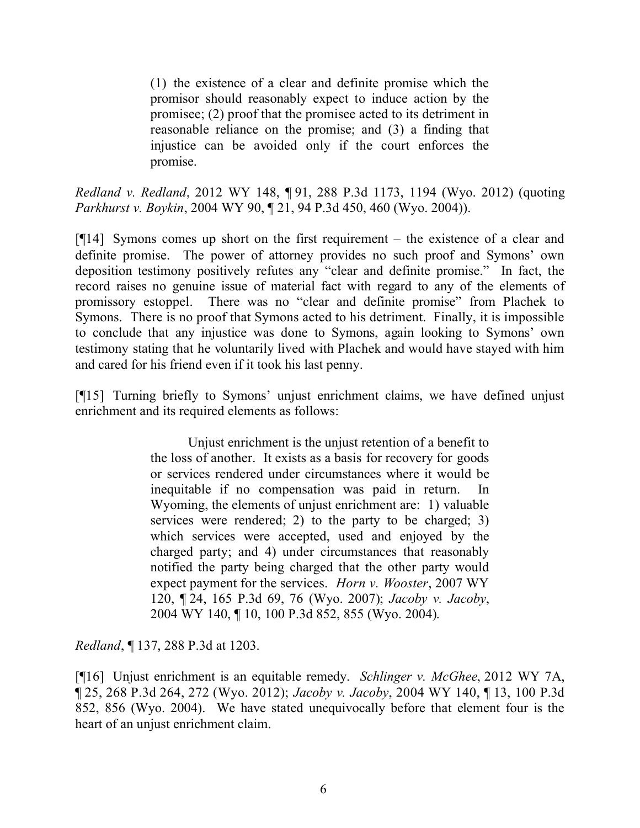(1) the existence of a clear and definite promise which the promisor should reasonably expect to induce action by the promisee; (2) proof that the promisee acted to its detriment in reasonable reliance on the promise; and (3) a finding that injustice can be avoided only if the court enforces the promise.

*Redland v. Redland*, 2012 WY 148, ¶ 91, 288 P.3d 1173, 1194 (Wyo. 2012) (quoting *Parkhurst v. Boykin*, 2004 WY 90, ¶ 21, 94 P.3d 450, 460 (Wyo. 2004)).

[¶14] Symons comes up short on the first requirement – the existence of a clear and definite promise. The power of attorney provides no such proof and Symons' own deposition testimony positively refutes any "clear and definite promise." In fact, the record raises no genuine issue of material fact with regard to any of the elements of promissory estoppel. There was no "clear and definite promise" from Plachek to Symons. There is no proof that Symons acted to his detriment. Finally, it is impossible to conclude that any injustice was done to Symons, again looking to Symons' own testimony stating that he voluntarily lived with Plachek and would have stayed with him and cared for his friend even if it took his last penny.

[¶15] Turning briefly to Symons' unjust enrichment claims, we have defined unjust enrichment and its required elements as follows:

> Unjust enrichment is the unjust retention of a benefit to the loss of another. It exists as a basis for recovery for goods or services rendered under circumstances where it would be inequitable if no compensation was paid in return. In Wyoming, the elements of unjust enrichment are: 1) valuable services were rendered; 2) to the party to be charged; 3) which services were accepted, used and enjoyed by the charged party; and 4) under circumstances that reasonably notified the party being charged that the other party would expect payment for the services. *Horn v. Wooster*, 2007 WY 120, ¶ 24, 165 P.3d 69, 76 (Wyo. 2007); *Jacoby v. Jacoby*, 2004 WY 140, ¶ 10, 100 P.3d 852, 855 (Wyo. 2004).

*Redland*, ¶ 137, 288 P.3d at 1203.

[¶16] Unjust enrichment is an equitable remedy. *Schlinger v. McGhee*, 2012 WY 7A, ¶ 25, 268 P.3d 264, 272 (Wyo. 2012); *Jacoby v. Jacoby*, 2004 WY 140, ¶ 13, 100 P.3d 852, 856 (Wyo. 2004). We have stated unequivocally before that element four is the heart of an unjust enrichment claim.